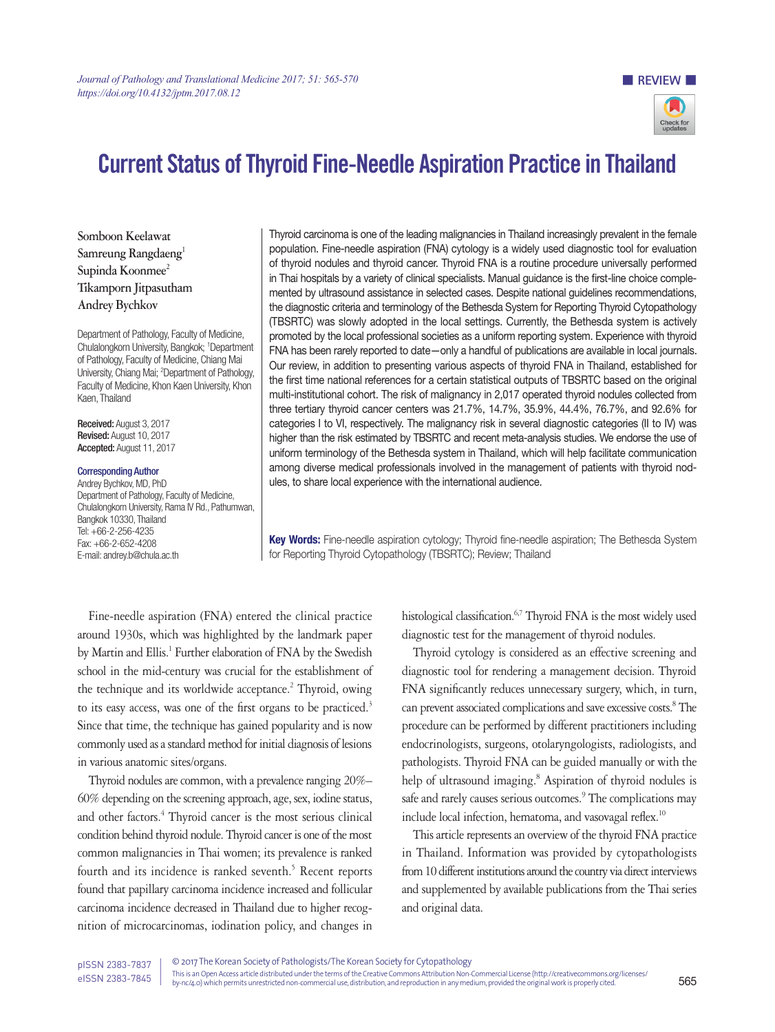

# Current Status of Thyroid Fine-Needle Aspiration Practice in Thailand

**Somboon Keelawat** Samreung Rangdaeng<sup>1</sup> Supinda Koonmee<sup>2</sup> **Tikamporn Jitpasutham Andrey Bychkov**

Department of Pathology, Faculty of Medicine, Chulalongkorn University, Bangkok; 1 Department of Pathology, Faculty of Medicine, Chiang Mai University, Chiang Mai; 2 Department of Pathology, Faculty of Medicine, Khon Kaen University, Khon Kaen, Thailand

Received: August 3, 2017 Revised: August 10, 2017 Accepted: August 11, 2017

## Corresponding Author

Andrey Bychkov, MD, PhD Department of Pathology, Faculty of Medicine, Chulalongkorn University, Rama IV Rd., Pathumwan, Bangkok 10330, Thailand Tel: +66-2-256-4235 Fax: +66-2-652-4208 E-mail: andrey.b@chula.ac.th

Thyroid carcinoma is one of the leading malignancies in Thailand increasingly prevalent in the female population. Fine-needle aspiration (FNA) cytology is a widely used diagnostic tool for evaluation of thyroid nodules and thyroid cancer. Thyroid FNA is a routine procedure universally performed in Thai hospitals by a variety of clinical specialists. Manual guidance is the first-line choice complemented by ultrasound assistance in selected cases. Despite national guidelines recommendations, the diagnostic criteria and terminology of the Bethesda System for Reporting Thyroid Cytopathology (TBSRTC) was slowly adopted in the local settings. Currently, the Bethesda system is actively promoted by the local professional societies as a uniform reporting system. Experience with thyroid FNA has been rarely reported to date—only a handful of publications are available in local journals. Our review, in addition to presenting various aspects of thyroid FNA in Thailand, established for the first time national references for a certain statistical outputs of TBSRTC based on the original multi-institutional cohort. The risk of malignancy in 2,017 operated thyroid nodules collected from three tertiary thyroid cancer centers was 21.7%, 14.7%, 35.9%, 44.4%, 76.7%, and 92.6% for categories I to VI, respectively. The malignancy risk in several diagnostic categories (II to IV) was higher than the risk estimated by TBSRTC and recent meta-analysis studies. We endorse the use of uniform terminology of the Bethesda system in Thailand, which will help facilitate communication among diverse medical professionals involved in the management of patients with thyroid nodules, to share local experience with the international audience.

Key Words: Fine-needle aspiration cytology; Thyroid fine-needle aspiration; The Bethesda System for Reporting Thyroid Cytopathology (TBSRTC); Review; Thailand

Fine-needle aspiration (FNA) entered the clinical practice around 1930s, which was highlighted by the landmark paper by Martin and Ellis.<sup>1</sup> Further elaboration of FNA by the Swedish school in the mid-century was crucial for the establishment of the technique and its worldwide acceptance.<sup>2</sup> Thyroid, owing to its easy access, was one of the first organs to be practiced.<sup>3</sup> Since that time, the technique has gained popularity and is now commonly used as a standard method for initial diagnosis of lesions in various anatomic sites/organs.

Thyroid nodules are common, with a prevalence ranging 20%– 60% depending on the screening approach, age, sex, iodine status, and other factors.<sup>4</sup> Thyroid cancer is the most serious clinical condition behind thyroid nodule. Thyroid cancer is one of the most common malignancies in Thai women; its prevalence is ranked fourth and its incidence is ranked seventh.<sup>5</sup> Recent reports found that papillary carcinoma incidence increased and follicular carcinoma incidence decreased in Thailand due to higher recognition of microcarcinomas, iodination policy, and changes in

histological classification.<sup>6,7</sup> Thyroid FNA is the most widely used diagnostic test for the management of thyroid nodules.

Thyroid cytology is considered as an effective screening and diagnostic tool for rendering a management decision. Thyroid FNA significantly reduces unnecessary surgery, which, in turn, can prevent associated complications and save excessive costs.<sup>8</sup> The procedure can be performed by different practitioners including endocrinologists, surgeons, otolaryngologists, radiologists, and pathologists. Thyroid FNA can be guided manually or with the help of ultrasound imaging.<sup>8</sup> Aspiration of thyroid nodules is safe and rarely causes serious outcomes.<sup>9</sup> The complications may include local infection, hematoma, and vasovagal reflex.<sup>10</sup>

This article represents an overview of the thyroid FNA practice in Thailand. Information was provided by cytopathologists from 10 different institutions around the country via direct interviews and supplemented by available publications from the Thai series and original data.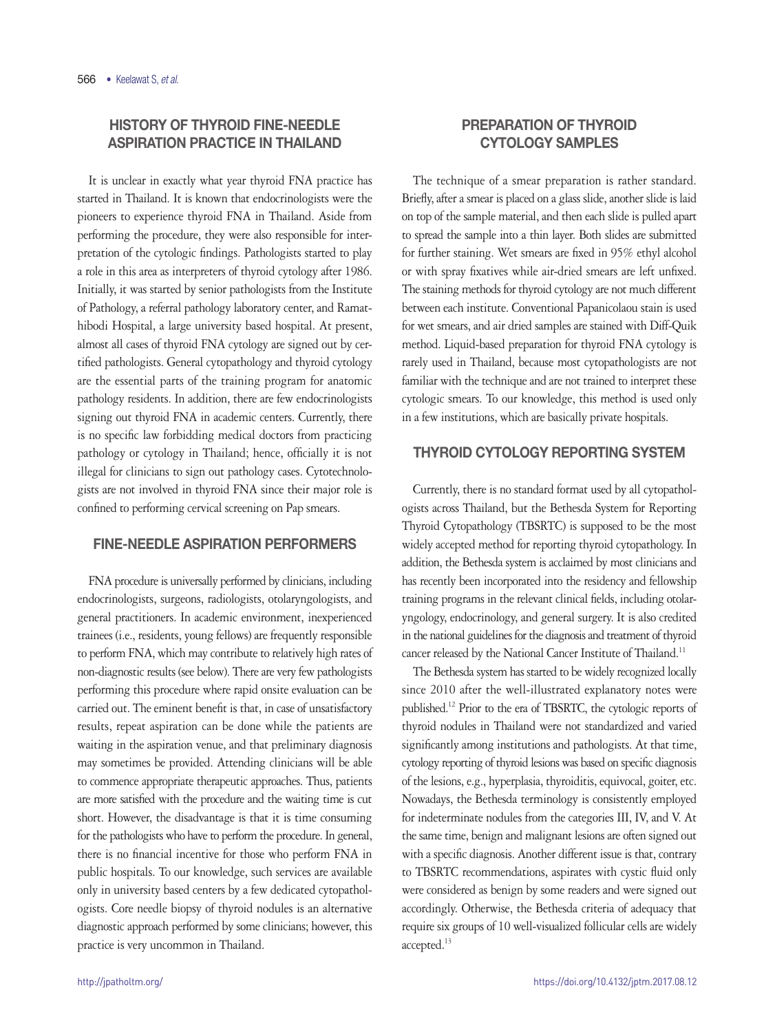# HISTORY OF THYROID FINE-NEEDLE ASPIRATION PRACTICE IN THAILAND

It is unclear in exactly what year thyroid FNA practice has started in Thailand. It is known that endocrinologists were the pioneers to experience thyroid FNA in Thailand. Aside from performing the procedure, they were also responsible for interpretation of the cytologic findings. Pathologists started to play a role in this area as interpreters of thyroid cytology after 1986. Initially, it was started by senior pathologists from the Institute of Pathology, a referral pathology laboratory center, and Ramathibodi Hospital, a large university based hospital. At present, almost all cases of thyroid FNA cytology are signed out by certified pathologists. General cytopathology and thyroid cytology are the essential parts of the training program for anatomic pathology residents. In addition, there are few endocrinologists signing out thyroid FNA in academic centers. Currently, there is no specific law forbidding medical doctors from practicing pathology or cytology in Thailand; hence, officially it is not illegal for clinicians to sign out pathology cases. Cytotechnologists are not involved in thyroid FNA since their major role is confined to performing cervical screening on Pap smears.

# FINE-NEEDLE ASPIRATION PERFORMERS

FNA procedure is universally performed by clinicians, including endocrinologists, surgeons, radiologists, otolaryngologists, and general practitioners. In academic environment, inexperienced trainees (i.e., residents, young fellows) are frequently responsible to perform FNA, which may contribute to relatively high rates of non-diagnostic results (see below). There are very few pathologists performing this procedure where rapid onsite evaluation can be carried out. The eminent benefit is that, in case of unsatisfactory results, repeat aspiration can be done while the patients are waiting in the aspiration venue, and that preliminary diagnosis may sometimes be provided. Attending clinicians will be able to commence appropriate therapeutic approaches. Thus, patients are more satisfied with the procedure and the waiting time is cut short. However, the disadvantage is that it is time consuming for the pathologists who have to perform the procedure. In general, there is no financial incentive for those who perform FNA in public hospitals. To our knowledge, such services are available only in university based centers by a few dedicated cytopathologists. Core needle biopsy of thyroid nodules is an alternative diagnostic approach performed by some clinicians; however, this practice is very uncommon in Thailand.

# PREPARATION OF THYROID CYTOLOGY SAMPLES

The technique of a smear preparation is rather standard. Briefly, after a smear is placed on a glass slide, another slide is laid on top of the sample material, and then each slide is pulled apart to spread the sample into a thin layer. Both slides are submitted for further staining. Wet smears are fixed in 95% ethyl alcohol or with spray fixatives while air-dried smears are left unfixed. The staining methods for thyroid cytology are not much different between each institute. Conventional Papanicolaou stain is used for wet smears, and air dried samples are stained with Diff-Quik method. Liquid-based preparation for thyroid FNA cytology is rarely used in Thailand, because most cytopathologists are not familiar with the technique and are not trained to interpret these cytologic smears. To our knowledge, this method is used only in a few institutions, which are basically private hospitals.

# THYROID CYTOLOGY REPORTING SYSTEM

Currently, there is no standard format used by all cytopathologists across Thailand, but the Bethesda System for Reporting Thyroid Cytopathology (TBSRTC) is supposed to be the most widely accepted method for reporting thyroid cytopathology. In addition, the Bethesda system is acclaimed by most clinicians and has recently been incorporated into the residency and fellowship training programs in the relevant clinical fields, including otolaryngology, endocrinology, and general surgery. It is also credited in the national guidelines for the diagnosis and treatment of thyroid cancer released by the National Cancer Institute of Thailand.<sup>11</sup>

The Bethesda system has started to be widely recognized locally since 2010 after the well-illustrated explanatory notes were published.12 Prior to the era of TBSRTC, the cytologic reports of thyroid nodules in Thailand were not standardized and varied significantly among institutions and pathologists. At that time, cytology reporting of thyroid lesions was based on specific diagnosis of the lesions, e.g., hyperplasia, thyroiditis, equivocal, goiter, etc. Nowadays, the Bethesda terminology is consistently employed for indeterminate nodules from the categories III, IV, and V. At the same time, benign and malignant lesions are often signed out with a specific diagnosis. Another different issue is that, contrary to TBSRTC recommendations, aspirates with cystic fluid only were considered as benign by some readers and were signed out accordingly. Otherwise, the Bethesda criteria of adequacy that require six groups of 10 well-visualized follicular cells are widely accepted.<sup>13</sup>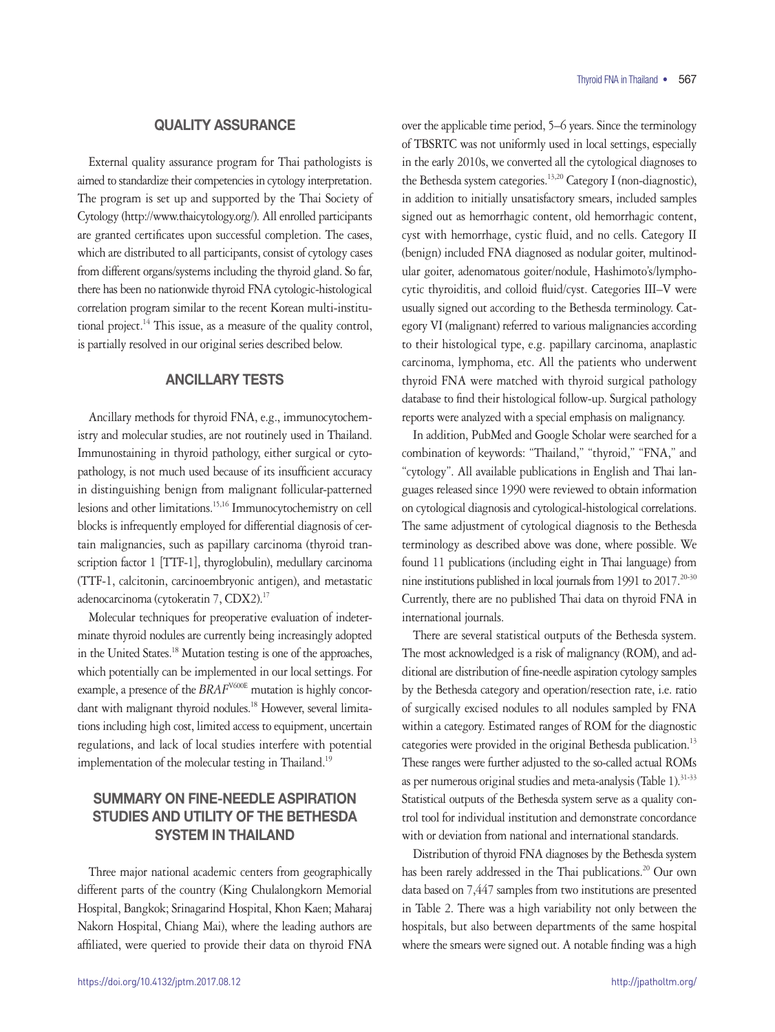## QUALITY ASSURANCE

External quality assurance program for Thai pathologists is aimed to standardize their competencies in cytology interpretation. The program is set up and supported by the Thai Society of Cytology (http://www.thaicytology.org/). All enrolled participants are granted certificates upon successful completion. The cases, which are distributed to all participants, consist of cytology cases from different organs/systems including the thyroid gland. So far, there has been no nationwide thyroid FNA cytologic-histological correlation program similar to the recent Korean multi-institutional project.<sup>14</sup> This issue, as a measure of the quality control, is partially resolved in our original series described below.

## ANCILLARY TESTS

Ancillary methods for thyroid FNA, e.g., immunocytochemistry and molecular studies, are not routinely used in Thailand. Immunostaining in thyroid pathology, either surgical or cytopathology, is not much used because of its insufficient accuracy in distinguishing benign from malignant follicular-patterned lesions and other limitations.15,16 Immunocytochemistry on cell blocks is infrequently employed for differential diagnosis of certain malignancies, such as papillary carcinoma (thyroid transcription factor 1 [TTF-1], thyroglobulin), medullary carcinoma (TTF-1, calcitonin, carcinoembryonic antigen), and metastatic adenocarcinoma (cytokeratin 7, CDX2).<sup>17</sup>

Molecular techniques for preoperative evaluation of indeterminate thyroid nodules are currently being increasingly adopted in the United States.18 Mutation testing is one of the approaches, which potentially can be implemented in our local settings. For example, a presence of the *BRAF*<sup>V600E</sup> mutation is highly concordant with malignant thyroid nodules.<sup>18</sup> However, several limitations including high cost, limited access to equipment, uncertain regulations, and lack of local studies interfere with potential implementation of the molecular testing in Thailand.<sup>19</sup>

# SUMMARY ON FINE-NEEDLE ASPIRATION STUDIES AND UTILITY OF THE BETHESDA SYSTEM IN THAILAND

Three major national academic centers from geographically different parts of the country (King Chulalongkorn Memorial Hospital, Bangkok; Srinagarind Hospital, Khon Kaen; Maharaj Nakorn Hospital, Chiang Mai), where the leading authors are affiliated, were queried to provide their data on thyroid FNA

over the applicable time period, 5–6 years. Since the terminology of TBSRTC was not uniformly used in local settings, especially in the early 2010s, we converted all the cytological diagnoses to the Bethesda system categories.<sup>13,20</sup> Category I (non-diagnostic), in addition to initially unsatisfactory smears, included samples signed out as hemorrhagic content, old hemorrhagic content, cyst with hemorrhage, cystic fluid, and no cells. Category II (benign) included FNA diagnosed as nodular goiter, multinodular goiter, adenomatous goiter/nodule, Hashimoto's/lymphocytic thyroiditis, and colloid fluid/cyst. Categories III–V were usually signed out according to the Bethesda terminology. Category VI (malignant) referred to various malignancies according to their histological type, e.g. papillary carcinoma, anaplastic carcinoma, lymphoma, etc. All the patients who underwent thyroid FNA were matched with thyroid surgical pathology database to find their histological follow-up. Surgical pathology reports were analyzed with a special emphasis on malignancy.

In addition, PubMed and Google Scholar were searched for a combination of keywords: "Thailand," "thyroid," "FNA," and "cytology". All available publications in English and Thai languages released since 1990 were reviewed to obtain information on cytological diagnosis and cytological-histological correlations. The same adjustment of cytological diagnosis to the Bethesda terminology as described above was done, where possible. We found 11 publications (including eight in Thai language) from nine institutions published in local journals from 1991 to  $2017$ <sup>20-30</sup> Currently, there are no published Thai data on thyroid FNA in international journals.

There are several statistical outputs of the Bethesda system. The most acknowledged is a risk of malignancy (ROM), and additional are distribution of fine-needle aspiration cytology samples by the Bethesda category and operation/resection rate, i.e. ratio of surgically excised nodules to all nodules sampled by FNA within a category. Estimated ranges of ROM for the diagnostic categories were provided in the original Bethesda publication.<sup>13</sup> These ranges were further adjusted to the so-called actual ROMs as per numerous original studies and meta-analysis (Table 1). $31-33$ Statistical outputs of the Bethesda system serve as a quality control tool for individual institution and demonstrate concordance with or deviation from national and international standards.

Distribution of thyroid FNA diagnoses by the Bethesda system has been rarely addressed in the Thai publications.<sup>20</sup> Our own data based on 7,447 samples from two institutions are presented in Table 2. There was a high variability not only between the hospitals, but also between departments of the same hospital where the smears were signed out. A notable finding was a high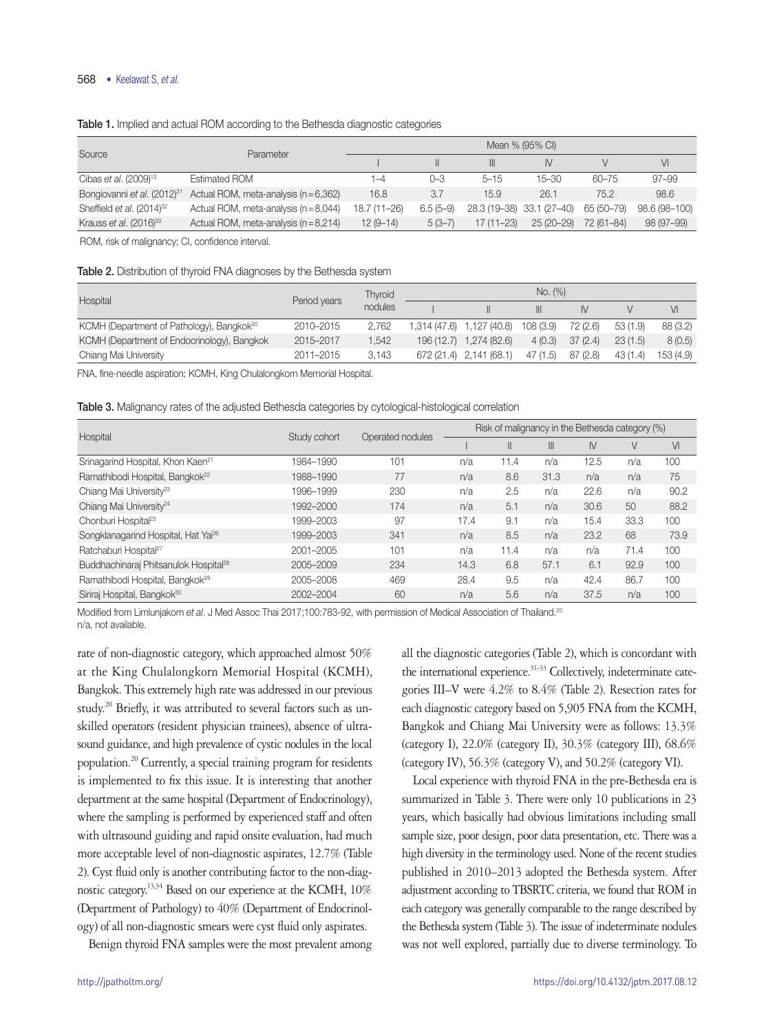### 568 • Keelawat S, *et al.*

| Source                                  | Parameter                             | Mean % (95% CI) |            |               |                           |            |               |  |  |
|-----------------------------------------|---------------------------------------|-----------------|------------|---------------|---------------------------|------------|---------------|--|--|
|                                         |                                       |                 |            | III           | N                         |            | VI            |  |  |
| Cibas et al. (2009) <sup>13</sup>       | <b>Estimated ROM</b>                  | $ -4$           | 0-3        | $5 - 15$      | $15 - 30$                 | $60 - 75$  | 97–99         |  |  |
| Bongiovanni et al. (2012) <sup>31</sup> | Actual ROM, meta-analysis $(n=6,362)$ | 16.8            | 3.7        | 15.9          | 26.1                      | 75.2       | 98.6          |  |  |
| Sheffield et al. $(2014)^{32}$          | Actual ROM, meta-analysis $(n=8.044)$ | $18.7(11 - 26)$ | $6.5(5-9)$ |               | 28.3 (19-38) 33.1 (27-40) | 65 (50-79) | 98.6 (98-100) |  |  |
| Krauss et al. (2016) <sup>33</sup>      | Actual ROM, meta-analysis (n = 8,214) | $12(9-14)$      | $5(3-7)$   | $17(11 - 23)$ | 25 (20–29)                | 72 (61-84) | 98 (97-99)    |  |  |

#### Table 1. Implied and actual ROM according to the Bethesda diagnostic categories

ROM, risk of malignancy; CI, confidence interval.

| <b>Table 2.</b> Distribution of thyroid FNA diagnoses by the Bethesda system |  |  |  |  |  |  |
|------------------------------------------------------------------------------|--|--|--|--|--|--|
|------------------------------------------------------------------------------|--|--|--|--|--|--|

| Hospital                                              | Period years | <b>Thvroid</b> | No. (%) |                           |          |          |         |           |  |
|-------------------------------------------------------|--------------|----------------|---------|---------------------------|----------|----------|---------|-----------|--|
|                                                       |              | nodules        |         |                           | Ш        | IV.      |         | VI        |  |
| KCMH (Department of Pathology), Bangkok <sup>20</sup> | 2010-2015    | 2.762          |         | 1,314 (47.6) 1,127 (40.8) | 108(3.9) | 72 (2.6) | 53(1.9) | 88 (3.2)  |  |
| KCMH (Department of Endocrinology), Bangkok           | 2015-2017    | 1.542          |         | 196 (12.7) 1,274 (82.6)   | 4(0.3)   | 37(2.4)  | 23(1.5) | 8(0.5)    |  |
| Chiang Mai University                                 | 2011-2015    | 3.143          |         | 672 (21.4) 2,141 (68.1)   | 47(1.5)  | 87(2.8)  | 43(1.4) | 153 (4.9) |  |

FNA, fine-needle aspiration; KCMH, King Chulalongkorn Memorial Hospital.

Table 3. Malignancy rates of the adjusted Bethesda categories by cytological-histological correlation

|                                                   |              |                  | Risk of malignancy in the Bethesda category (%) |               |              |      |      |      |
|---------------------------------------------------|--------------|------------------|-------------------------------------------------|---------------|--------------|------|------|------|
| Hospital                                          | Study cohort | Operated nodules |                                                 | $\mathsf{II}$ | $\mathbb{H}$ | IV   | V    | VI   |
| Srinagarind Hospital, Khon Kaen <sup>21</sup>     | 1984-1990    | 101              | n/a                                             | 11.4          | n/a          | 12.5 | n/a  | 100  |
| Ramathibodi Hospital, Bangkok <sup>22</sup>       | 1988-1990    | 77               | n/a                                             | 8.6           | 31.3         | n/a  | n/a  | 75   |
| Chiang Mai University <sup>23</sup>               | 1996-1999    | 230              | n/a                                             | 2.5           | n/a          | 22.6 | n/a  | 90.2 |
| Chiang Mai University <sup>24</sup>               | 1992-2000    | 174              | n/a                                             | 5.1           | n/a          | 30.6 | 50   | 88.2 |
| Chonburi Hospital <sup>25</sup>                   | 1999-2003    | 97               | 17.4                                            | 9.1           | n/a          | 15.4 | 33.3 | 100  |
| Songklanagarind Hospital, Hat Yai <sup>26</sup>   | 1999-2003    | 341              | n/a                                             | 8.5           | n/a          | 23.2 | 68   | 73.9 |
| Ratchaburi Hospital <sup>27</sup>                 | 2001-2005    | 101              | n/a                                             | 11.4          | n/a          | n/a  | 71.4 | 100  |
| Buddhachinaraj Phitsanulok Hospital <sup>28</sup> | 2005-2009    | 234              | 14.3                                            | 6.8           | 57.1         | 6.1  | 92.9 | 100  |
| Ramathibodi Hospital, Bangkok <sup>29</sup>       | 2005-2008    | 469              | 28.4                                            | 9.5           | n/a          | 42.4 | 86.7 | 100  |
| Siriraj Hospital, Bangkok <sup>30</sup>           | 2002-2004    | 60               | n/a                                             | 5.6           | n/a          | 37.5 | n/a  | 100  |

Modified from Limlunjakorn *et al*. J Med Assoc Thai 2017;100:783-92, with permission of Medical Association of Thailand.20 n/a, not available.

rate of non-diagnostic category, which approached almost 50% at the King Chulalongkorn Memorial Hospital (KCMH), Bangkok. This extremely high rate was addressed in our previous study.<sup>20</sup> Briefly, it was attributed to several factors such as unskilled operators (resident physician trainees), absence of ultrasound guidance, and high prevalence of cystic nodules in the local population.20 Currently, a special training program for residents is implemented to fix this issue. It is interesting that another department at the same hospital (Department of Endocrinology), where the sampling is performed by experienced staff and often with ultrasound guiding and rapid onsite evaluation, had much more acceptable level of non-diagnostic aspirates, 12.7% (Table 2). Cyst fluid only is another contributing factor to the non-diagnostic category.13,34 Based on our experience at the KCMH, 10% (Department of Pathology) to 40% (Department of Endocrinology) of all non-diagnostic smears were cyst fluid only aspirates.

Benign thyroid FNA samples were the most prevalent among

all the diagnostic categories (Table 2), which is concordant with the international experience.<sup>31-33</sup> Collectively, indeterminate categories III–V were 4.2% to 8.4% (Table 2). Resection rates for each diagnostic category based on 5,905 FNA from the KCMH, Bangkok and Chiang Mai University were as follows: 13.3% (category I), 22.0% (category II), 30.3% (category III), 68.6% (category IV), 56.3% (category V), and 50.2% (category VI).

Local experience with thyroid FNA in the pre-Bethesda era is summarized in Table 3. There were only 10 publications in 23 years, which basically had obvious limitations including small sample size, poor design, poor data presentation, etc. There was a high diversity in the terminology used. None of the recent studies published in 2010–2013 adopted the Bethesda system. After adjustment according to TBSRTC criteria, we found that ROM in each category was generally comparable to the range described by the Bethesda system (Table 3). The issue of indeterminate nodules was not well explored, partially due to diverse terminology. To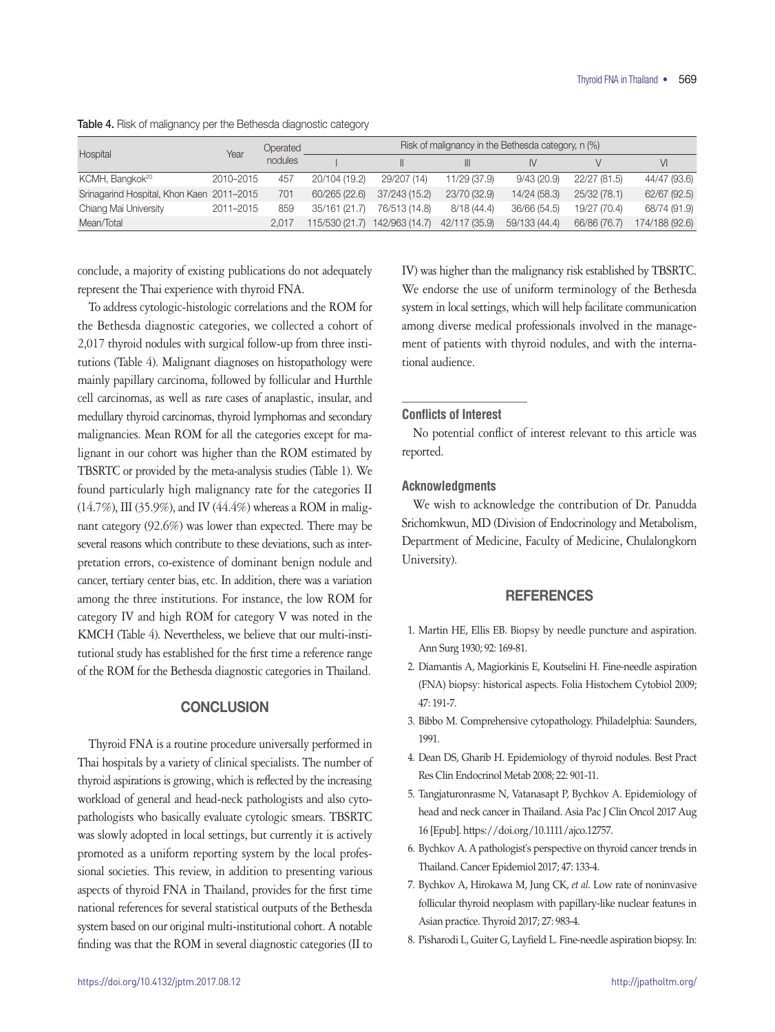| Hospital                                  | Year      | Operated<br>nodules | Risk of malignancy in the Bethesda category, n (%) |                |               |               |              |                |  |
|-------------------------------------------|-----------|---------------------|----------------------------------------------------|----------------|---------------|---------------|--------------|----------------|--|
|                                           |           |                     |                                                    |                |               |               |              | $\vee$         |  |
| KCMH, Bangkok <sup>20</sup>               | 2010-2015 | 457                 | 20/104 (19.2)                                      | 29/207 (14)    | 11/29 (37.9)  | 9/43(20.9)    | 22/27 (81.5) | 44/47 (93.6)   |  |
| Srinagarind Hospital, Khon Kaen 2011-2015 |           | 701                 | 60/265 (22.6)                                      | 37/243 (15.2)  | 23/70 (32.9)  | 14/24 (58.3)  | 25/32 (78.1) | 62/67 (92.5)   |  |
| Chiang Mai University                     | 2011-2015 | 859                 | 35/161 (21.7)                                      | 76/513 (14.8)  | 8/18(44.4)    | 36/66 (54.5)  | 19/27 (70.4) | 68/74 (91.9)   |  |
| Mean/Total                                |           | 2.017               | 115/530 (21.7)                                     | 142/963 (14.7) | 42/117 (35.9) | 59/133 (44.4) | 66/86 (76.7) | 174/188 (92.6) |  |

Table 4. Risk of malignancy per the Bethesda diagnostic category

conclude, a majority of existing publications do not adequately represent the Thai experience with thyroid FNA.

To address cytologic-histologic correlations and the ROM for the Bethesda diagnostic categories, we collected a cohort of 2,017 thyroid nodules with surgical follow-up from three institutions (Table 4). Malignant diagnoses on histopathology were mainly papillary carcinoma, followed by follicular and Hurthle cell carcinomas, as well as rare cases of anaplastic, insular, and medullary thyroid carcinomas, thyroid lymphomas and secondary malignancies. Mean ROM for all the categories except for malignant in our cohort was higher than the ROM estimated by TBSRTC or provided by the meta-analysis studies (Table 1). We found particularly high malignancy rate for the categories II (14.7%), III (35.9%), and IV (44.4%) whereas a ROM in malignant category (92.6%) was lower than expected. There may be several reasons which contribute to these deviations, such as interpretation errors, co-existence of dominant benign nodule and cancer, tertiary center bias, etc. In addition, there was a variation among the three institutions. For instance, the low ROM for category IV and high ROM for category V was noted in the KMCH (Table 4). Nevertheless, we believe that our multi-institutional study has established for the first time a reference range of the ROM for the Bethesda diagnostic categories in Thailand.

## **CONCLUSION**

Thyroid FNA is a routine procedure universally performed in Thai hospitals by a variety of clinical specialists. The number of thyroid aspirations is growing, which is reflected by the increasing workload of general and head-neck pathologists and also cytopathologists who basically evaluate cytologic smears. TBSRTC was slowly adopted in local settings, but currently it is actively promoted as a uniform reporting system by the local professional societies. This review, in addition to presenting various aspects of thyroid FNA in Thailand, provides for the first time national references for several statistical outputs of the Bethesda system based on our original multi-institutional cohort. A notable finding was that the ROM in several diagnostic categories (II to

IV) was higher than the malignancy risk established by TBSRTC. We endorse the use of uniform terminology of the Bethesda system in local settings, which will help facilitate communication among diverse medical professionals involved in the management of patients with thyroid nodules, and with the international audience.

#### **Conflicts of Interest**

No potential conflict of interest relevant to this article was reported.

### **Acknowledgments**

We wish to acknowledge the contribution of Dr. Panudda Srichomkwun, MD (Division of Endocrinology and Metabolism, Department of Medicine, Faculty of Medicine, Chulalongkorn University).

## **REFERENCES**

- 1. Martin HE, Ellis EB. Biopsy by needle puncture and aspiration. Ann Surg 1930; 92: 169-81.
- 2. Diamantis A, Magiorkinis E, Koutselini H. Fine-needle aspiration (FNA) biopsy: historical aspects. Folia Histochem Cytobiol 2009; 47: 191-7.
- 3. Bibbo M. Comprehensive cytopathology. Philadelphia: Saunders, 1991.
- 4. Dean DS, Gharib H. Epidemiology of thyroid nodules. Best Pract Res Clin Endocrinol Metab 2008; 22: 901-11.
- 5. Tangjaturonrasme N, Vatanasapt P, Bychkov A. Epidemiology of head and neck cancer in Thailand. Asia Pac J Clin Oncol 2017 Aug 16 [Epub]. https://doi.org/10.1111/ajco.12757.
- 6. Bychkov A. A pathologist's perspective on thyroid cancer trends in Thailand. Cancer Epidemiol 2017; 47: 133-4.
- 7. Bychkov A, Hirokawa M, Jung CK, *et al*. Low rate of noninvasive follicular thyroid neoplasm with papillary-like nuclear features in Asian practice. Thyroid 2017; 27: 983-4.
- 8. Pisharodi L, Guiter G, Layfield L. Fine-needle aspiration biopsy. In: